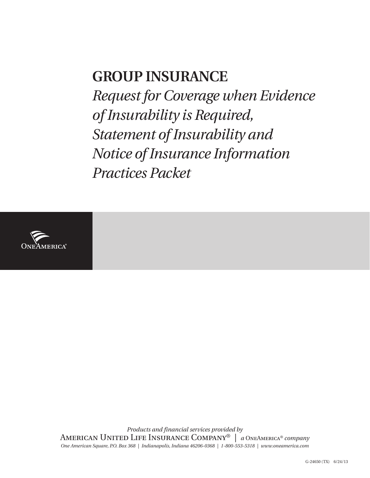# **GROUP INSURANCE** *Request for Coverage when Evidence of Insurability is Required, Statement of Insurability and Notice of Insurance Information Practices Packet*



*Products and financial services provided by* American United Life Insurance Company® | *a* OneAmerica® *company One American Square, P.O. Box 368 | Indianapolis, Indiana 46206-0368 | 1-800-553-5318 | www.oneamerica.com*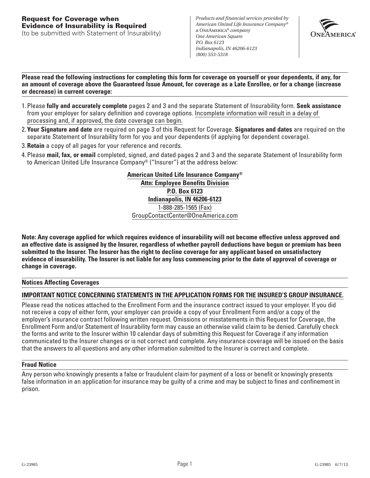(to be submitted with Statement of Insurability)

*Products and financial services provided by American United Life Insurance Company® a* OneAmerica*® company One American Square P.O. Box 6123 Indianapolis, IN 46206-6123 (800) 553-5318*



**Please read the following instructions for completing this form for coverage on yourself or your dependents, if any, for an amount of coverage above the Guaranteed Issue Amount, for coverage as a Late Enrollee, or for a change (increase or decrease) in current coverage:**

- 1. Please **fully and accurately complete** pages 2 and 3 and the separate Statement of Insurability form. **Seek assistance** from your employer for salary definition and coverage options. Incomplete information will result in a delay of processing and, if approved, the date coverage can begin.
- 2. **Your Signature and date** are required on page 3 of this Request for Coverage. **Signatures and dates** are required on the separate Statement of Insurability form for you and your dependents (if applying for dependent coverage).
- 3. **Retain** a copy of all pages for your reference and records.
- 4. Please **mail, fax, or email** completed, signed, and dated pages 2 and 3 and the separate Statement of Insurability form to American United Life Insurance Company® ("Insurer") at the address below:

**American United Life Insurance Company® Attn: Employee Benefits Division P.O. Box 6123 Indianapolis, IN 46206-6123** 1-888-285-1565 (Fax) GroupContactCenter@OneAmerica.com

**Note: Any coverage applied for which requires evidence of insurability will not become effective unless approved and an effective date is assigned by the Insurer, regardless of whether payroll deductions have begun or premium has been submitted to the Insurer. The Insurer has the right to decline coverage for any applicant based on unsatisfactory evidence of insurability. The Insurer is not liable for any loss commencing prior to the date of approval of coverage or change in coverage.**

# **Notices Affecting Coverages**

# **IMPORTANT NOTICE CONCERNING STATEMENTS IN THE APPLICATION FORMS FOR THE INSURED'S GROUP INSURANCE.**

Please read the notices attached to the Enrollment Form and the insurance contract issued to your employer. If you did not receive a copy of either form, your employer can provide a copy of your Enrollment Form and/or a copy of the employer's insurance contract following written request. Omissions or misstatements in this Request for Coverage, the Enrollment Form and/or Statement of Insurability form may cause an otherwise valid claim to be denied. Carefully check the forms and write to the Insurer within 10 calendar days of submitting this Request for Coverage if any information communicated to the Insurer changes or is not correct and complete. Any insurance coverage will be issued on the basis that the answers to all questions and any other information submitted to the Insurer is correct and complete.

# **Fraud Notice**

Any person who knowingly presents a false or fraudulent claim for payment of a loss or benefit or knowingly presents false information in an application for insurance may be guilty of a crime and may be subject to fines and confinement in prison.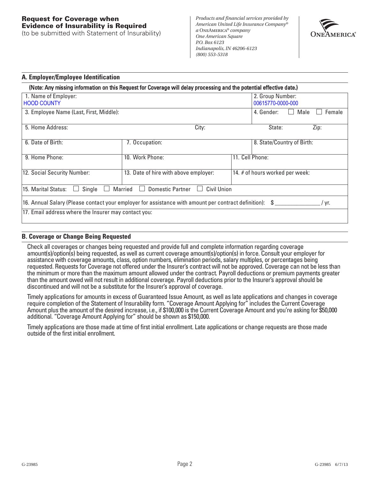# **Request for Coverage when Evidence of Insurability is Required**

(to be submitted with Statement of Insurability)

*Products and financial services provided by American United Life Insurance Company® a* OneAmerica*® company One American Square P.O. Box 6123 Indianapolis, IN 46206-6123 (800) 553-5318*



## **A. Employer/Employee Identification**

|                                                      | (Note: Any missing information on this Request for Coverage will delay processing and the potential effective date.) |                 |                                       |                            |        |
|------------------------------------------------------|----------------------------------------------------------------------------------------------------------------------|-----------------|---------------------------------------|----------------------------|--------|
| 1. Name of Employer:<br><b>HOOD COUNTY</b>           |                                                                                                                      |                 | 2. Group Number:<br>00615770-0000-000 |                            |        |
| 3. Employee Name (Last, First, Middle):              |                                                                                                                      |                 | 4. Gender:                            | Male                       | Female |
| 5. Home Address:<br>City:                            |                                                                                                                      |                 | State:                                |                            | Zip:   |
| 6. Date of Birth:                                    | 7. Occupation:                                                                                                       |                 |                                       | 8. State/Country of Birth: |        |
| 9. Home Phone:                                       | 10. Work Phone:                                                                                                      | 11. Cell Phone: |                                       |                            |        |
| 12. Social Security Number:                          | 13. Date of hire with above employer:                                                                                |                 | 14. # of hours worked per week:       |                            |        |
| Single<br>15. Marital Status:<br>I.                  | Married<br><b>Domestic Partner</b><br>Civil Union                                                                    |                 |                                       |                            |        |
|                                                      | 16. Annual Salary (Please contact your employer for assistance with amount per contract definition): \$              |                 |                                       |                            | / vr.  |
| 17. Email address where the Insurer may contact you: |                                                                                                                      |                 |                                       |                            |        |

# **B. Coverage or Change Being Requested**

Check all coverages or changes being requested and provide full and complete information regarding coverage amount(s)/option(s) being requested, as well as current coverage amount(s)/option(s) in force. Consult your employer for assistance with coverage amounts, class, option numbers, elimination periods, salary multiples, or percentages being requested. Requests for Coverage not offered under the Insurer's contract will not be approved. Coverage can not be less than the minimum or more than the maximum amount allowed under the contract. Payroll deductions or premium payments greater than the amount owed will not result in additional coverage. Payroll deductions prior to the Insurer's approval should be discontinued and will not be a substitute for the Insurer's approval of coverage.

Timely applications for amounts in excess of Guaranteed Issue Amount, as well as late applications and changes in coverage require completion of the Statement of Insurability form. "Coverage Amount Applying for" includes the Current Coverage Amount plus the amount of the desired increase, i.e., if \$100,000 is the Current Coverage Amount and you're asking for \$50,000 additional. "Coverage Amount Applying for" should be shown as \$150,000.

Timely applications are those made at time of first initial enrollment. Late applications or change requests are those made outside of the first initial enrollment.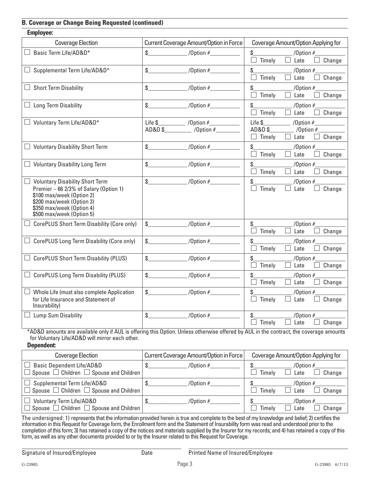# **B. Coverage or Change Being Requested (continued)**

| <b>Employee:</b>                                                                                                                                                                                                                 |                                                                                                                                                                                                                                                                                                                     |                                                                                            |
|----------------------------------------------------------------------------------------------------------------------------------------------------------------------------------------------------------------------------------|---------------------------------------------------------------------------------------------------------------------------------------------------------------------------------------------------------------------------------------------------------------------------------------------------------------------|--------------------------------------------------------------------------------------------|
| <b>Coverage Election</b>                                                                                                                                                                                                         | Current Coverage Amount/Option in Force                                                                                                                                                                                                                                                                             | Coverage Amount/Option Applying for                                                        |
| Basic Term Life/AD&D*                                                                                                                                                                                                            | /Option $#$<br>$\sim$                                                                                                                                                                                                                                                                                               | \$<br>/Option $#$<br>$\Box$ Timely<br>Change<br>$\Box$ Late                                |
| $\Box$ Supplemental Term Life/AD&D*                                                                                                                                                                                              | $10$ ption #<br>$\sim$                                                                                                                                                                                                                                                                                              | $\mathsf{\$}$<br>/Option $#$<br>$\Box$ Timely<br>$\Box$ Late<br>Change                     |
| $\Box$ Short Term Disability                                                                                                                                                                                                     | $\sim$                                                                                                                                                                                                                                                                                                              | $\mathbb{S}$<br>/Option $#$<br>$\Box$ Timely<br>Late<br>Change                             |
| $\Box$ Long Term Disability                                                                                                                                                                                                      | $\mathbb{S}$<br>$/$ Option #                                                                                                                                                                                                                                                                                        | \$<br>/Option $#$<br>$\Box$ Late<br>Timely<br>Change                                       |
| $\Box$ Voluntary Term Life/AD&D*                                                                                                                                                                                                 | Life $\frac{1}{2}$ /Option $\frac{1}{2}$<br>$AD&D$ \$ /Option #                                                                                                                                                                                                                                                     | Life \$<br>/Option $#_$<br>AD&D\$<br>/Option $#$<br>$\Box$ Timely<br>Change<br>$\Box$ Late |
| $\Box$ Voluntary Disability Short Term                                                                                                                                                                                           | $\mathbb{S}$<br>$10$ ption #                                                                                                                                                                                                                                                                                        | \$<br>/Option $#$<br>Timely<br>Change<br>$\Box$ Late                                       |
| $\Box$ Voluntary Disability Long Term                                                                                                                                                                                            | $\sqrt{0}$ ption #<br>$\sim$                                                                                                                                                                                                                                                                                        | \$<br>/Option $#$<br>Change<br>$\Box$ Timely<br>$\Box$ Late                                |
| $\overline{\phantom{a}}$<br><b>Voluntary Disability Short Term</b><br>Premier - 66 2/3% of Salary (Option 1)<br>\$100 max/week (Option 2)<br>\$200 max/week (Option 3)<br>\$350 max/week (Option 4)<br>\$500 max/week (Option 5) | $\sqrt{0}$ ption #<br>$\sim$                                                                                                                                                                                                                                                                                        | \$<br>/Option $#$<br>Change<br>Timely<br>$\Box$ Late                                       |
| CorePLUS Short Term Disability (Core only)                                                                                                                                                                                       | $\frac{1}{2}$ $\frac{1}{2}$ $\frac{1}{2}$ $\frac{1}{2}$ $\frac{1}{2}$ $\frac{1}{2}$ $\frac{1}{2}$ $\frac{1}{2}$ $\frac{1}{2}$ $\frac{1}{2}$ $\frac{1}{2}$ $\frac{1}{2}$ $\frac{1}{2}$ $\frac{1}{2}$ $\frac{1}{2}$ $\frac{1}{2}$ $\frac{1}{2}$ $\frac{1}{2}$ $\frac{1}{2}$ $\frac{1}{2}$ $\frac{1}{2}$ $\frac{1}{2}$ | $\mathbb{S}$<br>/Option $#$<br>Timely<br>Change<br>Late                                    |
| CorePLUS Long Term Disability (Core only)                                                                                                                                                                                        | $\mathbb{S}$<br>/Option $#$                                                                                                                                                                                                                                                                                         | \$<br>/Option $#$<br>$\Box$<br>Timely<br>$\Box$ Late<br>Change                             |
| <b>CorePLUS Short Term Disability (PLUS)</b>                                                                                                                                                                                     | $\mathbb{S}$                                                                                                                                                                                                                                                                                                        | \$<br>/Option $#$<br>Timely<br>$\Box$ Late<br>Change                                       |
| $\Box$ CorePLUS Long Term Disability (PLUS)                                                                                                                                                                                      | $1$ (Option #<br>$\mathbb{S}$                                                                                                                                                                                                                                                                                       | \$<br>/Option $#$<br>Timely<br>Change<br>$\Box$ Late                                       |
| Whole Life (must also complete Application<br>for Life Insurance and Statement of<br>Insurability)                                                                                                                               | $\sim$<br>$10$ ption #                                                                                                                                                                                                                                                                                              | \$<br>/Option $#$<br>Timely<br>Change<br>Late                                              |
| Lump Sum Disability                                                                                                                                                                                                              | /Option $#$<br>$\mathbb{S}$                                                                                                                                                                                                                                                                                         | \$<br>/Option $#$<br>Timely<br>Change<br>$\Box$ Late                                       |

\*AD&D amounts are available only if AUL is offering this Option. Unless otherwise offered by AUL in the contract, the coverage amounts for Voluntary Life/AD&D will mirror each other.

**Dependent:**

| Coverage Election                                                                                         | Current Coverage Amount/Option in Force | Coverage Amount/Option Applying for     |
|-----------------------------------------------------------------------------------------------------------|-----------------------------------------|-----------------------------------------|
| <b>Basic Dependent Life/AD&amp;D</b><br>$\Box$ Spouse $\Box$ Children $\Box$ Spouse and Children $\vert$  | /Option $#$                             | /Option $#$<br>Change<br>Timely<br>Late |
| $\Box$ Supplemental Term Life/AD&D<br>$\Box$ Spouse $\ \Box$ Children $\ \Box$ Spouse and Children $\mid$ | /Option $#$                             | /Option $#$<br>Change<br>Timely<br>Late |
| <b>Voluntary Term Life/AD&amp;D</b><br>$\Box$ Spouse $\Box$ Children $\Box$ Spouse and Children $\vert$   | /Option $#$                             | /Option $#$<br>Change<br>Timely<br>Late |

The undersigned: 1) represents that the information provided herein is true and complete to the best of my knowledge and belief; 2) certifies the information in this Request for Coverage form, the Enrollment form and the Statement of Insurability form was read and understood prior to the completion of this form; 3) has retained a copy of the notices and materials supplied by the Insurer for my records; and 4) has retained a copy of this form, as well as any other documents provided to or by the Insurer related to this Request for Coverage.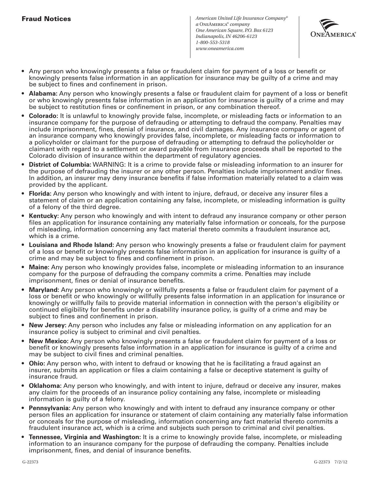*American United Life Insurance Company® a* OneAmerica*® company One American Square, P.O. Box 6123 Indianapolis, IN 46206-6123 1-800-553-5318 www.oneamerica.com*



- Any person who knowingly presents a false or fraudulent claim for payment of a loss or benefit or knowingly presents false information in an application for insurance may be guilty of a crime and may be subject to fines and confinement in prison.
- **Alabama:** Any person who knowingly presents a false or fraudulent claim for payment of a loss or benefit or who knowingly presents false information in an application for insurance is guilty of a crime and may be subject to restitution fines or confinement in prison, or any combination thereof.
- **Colorado:** It is unlawful to knowingly provide false, incomplete, or misleading facts or information to an insurance company for the purpose of defrauding or attempting to defraud the company. Penalties may include imprisonment, fines, denial of insurance, and civil damages. Any insurance company or agent of an insurance company who knowingly provides false, incomplete, or misleading facts or information to a policyholder or claimant for the purpose of defrauding or attempting to defraud the policyholder or claimant with regard to a settlement or award payable from insurance proceeds shall be reported to the Colorado division of insurance within the department of regulatory agencies.
- **District of Columbia:** WARNING: It is a crime to provide false or misleading information to an insurer for the purpose of defrauding the insurer or any other person. Penalties include imprisonment and/or fines. In addition, an insurer may deny insurance benefits if false information materially related to a claim was provided by the applicant.
- **Florida:** Any person who knowingly and with intent to injure, defraud, or deceive any insurer files a statement of claim or an application containing any false, incomplete, or misleading information is guilty of a felony of the third degree.
- **Kentucky:** Any person who knowingly and with intent to defraud any insurance company or other person files an application for insurance containing any materially false information or conceals, for the purpose of misleading, information concerning any fact material thereto commits a fraudulent insurance act, which is a crime.
- **Louisiana and Rhode Island:** Any person who knowingly presents a false or fraudulent claim for payment of a loss or benefit or knowingly presents false information in an application for insurance is guilty of a crime and may be subject to fines and confinement in prison.
- **Maine:** Any person who knowingly provides false, incomplete or misleading information to an insurance company for the purpose of defrauding the company commits a crime. Penalties may include imprisonment, fines or denial of insurance benefits.
- **Maryland:** Any person who knowingly or willfully presents a false or fraudulent claim for payment of a loss or benefit or who knowingly or willfully presents false information in an application for insurance or knowingly or willfully fails to provide material information in connection with the person's eligibility or continued eligibility for benefits under a disability insurance policy, is guilty of a crime and may be subject to fines and confinement in prison.
- **New Jersey:** Any person who includes any false or misleading information on any application for an insurance policy is subject to criminal and civil penalties.
- **New Mexico:** Any person who knowingly presents a false or fraudulent claim for payment of a loss or benefit or knowingly presents false information in an application for insurance is guilty of a crime and may be subject to civil fines and criminal penalties.
- **Ohio:** Any person who, with intent to defraud or knowing that he is facilitating a fraud against an insurer, submits an application or files a claim containing a false or deceptive statement is guilty of insurance fraud.
- **Oklahoma:** Any person who knowingly, and with intent to injure, defraud or deceive any insurer, makes any claim for the proceeds of an insurance policy containing any false, incomplete or misleading information is guilty of a felony.
- **Pennsylvania:** Any person who knowingly and with intent to defraud any insurance company or other person files an application for insurance or statement of claim containing any materially false information or conceals for the purpose of misleading, information concerning any fact material thereto commits a fraudulent insurance act, which is a crime and subjects such person to criminal and civil penalties.
- **Tennessee, Virginia and Washington:** It is a crime to knowingly provide false, incomplete, or misleading information to an insurance company for the purpose of defrauding the company. Penalties include imprisonment, fines, and denial of insurance benefits.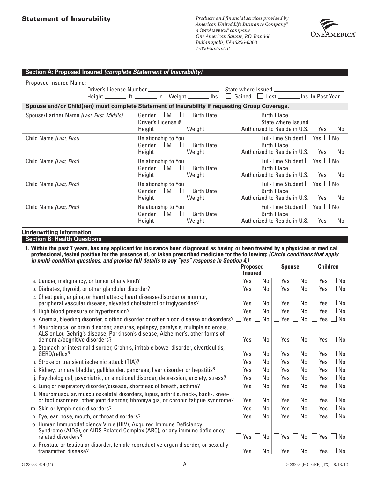*Products and financial services provided by American United Life Insurance Company® a* OneAmerica*® company One American Square, P.O. Box 368 Indianapolis, IN 46206-0368 1-800-553-5318*



| Section A: Proposed Insured (complete Statement of Insurability)                                                                                                                                                                         |                                                                                                            |                                 |                                                                                                                                  |                                                                |
|------------------------------------------------------------------------------------------------------------------------------------------------------------------------------------------------------------------------------------------|------------------------------------------------------------------------------------------------------------|---------------------------------|----------------------------------------------------------------------------------------------------------------------------------|----------------------------------------------------------------|
|                                                                                                                                                                                                                                          |                                                                                                            |                                 |                                                                                                                                  |                                                                |
|                                                                                                                                                                                                                                          |                                                                                                            |                                 |                                                                                                                                  |                                                                |
|                                                                                                                                                                                                                                          | Height __________ ft. _________ in. Weight _________ Ibs. □ Gained □ Lost ________ Ibs. In Past Year       |                                 |                                                                                                                                  |                                                                |
| Spouse and/or Child(ren) must complete Statement of Insurability if requesting Group Coverage.                                                                                                                                           |                                                                                                            |                                 |                                                                                                                                  |                                                                |
| Spouse/Partner Name (Last, First, Middle)                                                                                                                                                                                                | Gender $\Box$ M $\Box$ F Birth Date $\_\_\_\_\_\_\$ Birth Place $\_\_\_\_\_\_\_\_\_\_\_\_\_\_\_\_\_\_\_\_$ |                                 |                                                                                                                                  |                                                                |
|                                                                                                                                                                                                                                          |                                                                                                            |                                 |                                                                                                                                  |                                                                |
|                                                                                                                                                                                                                                          |                                                                                                            |                                 |                                                                                                                                  |                                                                |
| Child Name (Last, First)                                                                                                                                                                                                                 | Gender $\Box$ M $\Box$ F Birth Date $\Box$ Birth Place $\Box$                                              |                                 |                                                                                                                                  |                                                                |
|                                                                                                                                                                                                                                          | Height ____________ Weight ______________ Authorized to Reside in U.S. $\Box$ Yes $\Box$ No                |                                 |                                                                                                                                  |                                                                |
| Child Name (Last, First)                                                                                                                                                                                                                 |                                                                                                            |                                 |                                                                                                                                  |                                                                |
|                                                                                                                                                                                                                                          |                                                                                                            |                                 |                                                                                                                                  |                                                                |
|                                                                                                                                                                                                                                          | Height ___________ Weight _____________ Authorized to Reside in U.S. $\Box$ Yes $\Box$ No                  |                                 |                                                                                                                                  |                                                                |
| Child Name (Last, First)                                                                                                                                                                                                                 |                                                                                                            |                                 |                                                                                                                                  |                                                                |
|                                                                                                                                                                                                                                          |                                                                                                            |                                 |                                                                                                                                  |                                                                |
|                                                                                                                                                                                                                                          |                                                                                                            |                                 |                                                                                                                                  |                                                                |
| Child Name (Last, First)                                                                                                                                                                                                                 |                                                                                                            |                                 |                                                                                                                                  |                                                                |
|                                                                                                                                                                                                                                          | Height ___________ Weight ______________ Authorized to Reside in U.S. □ Yes □ No                           |                                 |                                                                                                                                  |                                                                |
|                                                                                                                                                                                                                                          |                                                                                                            |                                 |                                                                                                                                  |                                                                |
| <b>Underwriting Information</b><br><b>Section B: Health Questions</b>                                                                                                                                                                    |                                                                                                            |                                 |                                                                                                                                  |                                                                |
|                                                                                                                                                                                                                                          |                                                                                                            |                                 |                                                                                                                                  |                                                                |
| 1. Within the past 7 years, has any applicant for insurance been diagnosed as having or been treated by a physician or medical                                                                                                           |                                                                                                            |                                 |                                                                                                                                  |                                                                |
|                                                                                                                                                                                                                                          |                                                                                                            |                                 |                                                                                                                                  |                                                                |
| professional, tested positive for the presence of, or taken prescribed medicine for the following: (Circle conditions that apply<br>in multi-condition questions, and provide full details to any "yes" response in Section 4.)          |                                                                                                            |                                 |                                                                                                                                  |                                                                |
|                                                                                                                                                                                                                                          |                                                                                                            | <b>Proposed</b>                 | <b>Spouse</b>                                                                                                                    | <b>Children</b>                                                |
|                                                                                                                                                                                                                                          |                                                                                                            | <b>Insured</b>                  |                                                                                                                                  |                                                                |
| a. Cancer, malignancy, or tumor of any kind?                                                                                                                                                                                             |                                                                                                            |                                 | $\Box$ Yes $\Box$ No $\Box$ Yes $\Box$ No $\Box$ Yes $\Box$ No<br>$\Box$ Yes $\Box$ No $\Box$ Yes $\Box$ No $\Box$ Yes $\Box$ No |                                                                |
| b. Diabetes, thyroid, or other glandular disorder?<br>c. Chest pain, angina, or heart attack; heart disease/disorder or murmur,                                                                                                          |                                                                                                            |                                 | $\Box$ Yes $\Box$ No $\Box$ Yes $\Box$ No $\Box$ Yes $\Box$ No                                                                   |                                                                |
| peripheral vascular disease, elevated cholesterol or triglycerides?                                                                                                                                                                      |                                                                                                            |                                 | $\Box$ Yes $\Box$ No $\Box$ Yes $\Box$ No $\Box$ Yes $\Box$ No                                                                   |                                                                |
| d. High blood pressure or hypertension?<br>e. Anemia, bleeding disorder, clotting disorder or other blood disease or disorders? $\Box$ Yes $\Box$ No $\Box$ Yes $\Box$ No $\Box$ Yes $\Box$ No                                           |                                                                                                            |                                 |                                                                                                                                  |                                                                |
| f. Neurological or brain disorder, seizures, epilepsy, paralysis, multiple sclerosis,                                                                                                                                                    |                                                                                                            |                                 |                                                                                                                                  |                                                                |
| ALS or Lou Gehrig's disease, Parkinson's disease, Alzheimer's, other forms of<br>dementia/cognitive disorders?                                                                                                                           |                                                                                                            |                                 |                                                                                                                                  | $\Box$ Yes $\Box$ No $\Box$ Yes $\Box$ No $\Box$ Yes $\Box$ No |
| g. Stomach or intestinal disorder, Crohn's, irritable bowel disorder, diverticulitis,<br>GERD/reflux?                                                                                                                                    |                                                                                                            |                                 | $\Box$ Yes $\Box$ No $\Box$ Yes $\Box$ No $\Box$ Yes $\Box$ No                                                                   |                                                                |
| h. Stroke or transient ischemic attack (TIA)?                                                                                                                                                                                            |                                                                                                            | Yes $\Box$ No $\Box$ Yes $\Box$ |                                                                                                                                  | $No \Box Yes \Box No$                                          |
| i. Kidney, urinary bladder, gallbladder, pancreas, liver disorder or hepatitis?                                                                                                                                                          |                                                                                                            | Yes $\Box$ No $\Box$ Yes $\Box$ |                                                                                                                                  | $No \Box Yes \Box No$                                          |
| j. Psychological, psychiatric, or emotional disorder, depression, anxiety, stress?                                                                                                                                                       |                                                                                                            |                                 | $\Box$ Yes $\Box$ No $\Box$ Yes $\Box$ No $\Box$ Yes $\Box$ No                                                                   |                                                                |
| k. Lung or respiratory disorder/disease, shortness of breath, asthma?                                                                                                                                                                    |                                                                                                            |                                 | $\Box$ Yes $\Box$ No $\Box$ Yes $\Box$ No $\Box$ Yes $\Box$ No                                                                   |                                                                |
| I. Neuromuscular, musculoskeletal disorders, lupus, arthritis, neck-, back-, knee-<br>or foot disorders, other joint disorder, fibromyalgia, or chronic fatigue syndrome? $\Box$ Yes $\Box$ No $\Box$ Yes $\Box$ No $\Box$ Yes $\Box$ No |                                                                                                            |                                 |                                                                                                                                  |                                                                |
| m. Skin or lymph node disorders?                                                                                                                                                                                                         |                                                                                                            |                                 | $\Box$ Yes $\Box$ No $\Box$ Yes $\Box$ No $\Box$ Yes $\Box$ No                                                                   |                                                                |
| n. Eye, ear, nose, mouth, or throat disorders?                                                                                                                                                                                           |                                                                                                            |                                 | Yes $\Box$ No $\Box$ Yes $\Box$ No $\Box$ Yes $\Box$ No                                                                          |                                                                |
| o. Human Immunodeficiency Virus (HIV), Acquired Immune Deficiency<br>Syndrome (AIDS), or AIDS Related Complex (ARC), or any immune deficiency<br>related disorders?                                                                      |                                                                                                            |                                 | $\Box$ Yes $\Box$ No $\Box$ Yes $\Box$ No $\Box$ Yes $\Box$ No                                                                   |                                                                |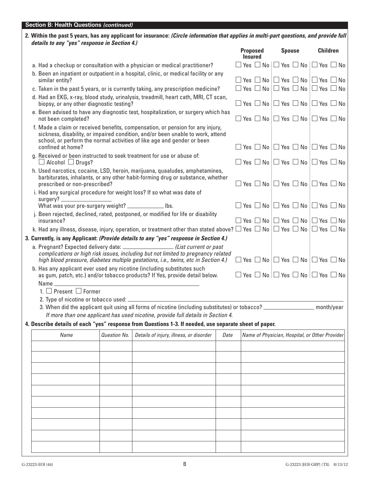# **Section B: Health Questions** *(continued)*

| 2. Within the past 5 years, has any applicant for insurance: <i>(Circle information that applies in multi-part questions, and provide full</i> |  |
|------------------------------------------------------------------------------------------------------------------------------------------------|--|
| details to any "yes" response in Section 4.)                                                                                                   |  |

|                                                                                                                                                                                                                                                                   |              |                                                                                  |      | <b>Proposed</b><br><b>Insured</b> | <b>Spouse</b>                                                  | <b>Children</b> |  |
|-------------------------------------------------------------------------------------------------------------------------------------------------------------------------------------------------------------------------------------------------------------------|--------------|----------------------------------------------------------------------------------|------|-----------------------------------|----------------------------------------------------------------|-----------------|--|
| a. Had a checkup or consultation with a physician or medical practitioner?                                                                                                                                                                                        |              |                                                                                  |      |                                   | $\Box$ Yes $\Box$ No $\Box$ Yes $\Box$ No $\Box$ Yes $\Box$ No |                 |  |
| b. Been an inpatient or outpatient in a hospital, clinic, or medical facility or any<br>similar entity?                                                                                                                                                           |              |                                                                                  |      |                                   | $\Box$ Yes $\Box$ No $\Box$ Yes $\Box$ No $\Box$ Yes $\Box$ No |                 |  |
| c. Taken in the past 5 years, or is currently taking, any prescription medicine?                                                                                                                                                                                  |              |                                                                                  |      |                                   | $\Box$ Yes $\Box$ No $\Box$ Yes $\Box$ No $\Box$ Yes $\Box$ No |                 |  |
| d. Had an EKG, x-ray, blood study, urinalysis, treadmill, heart cath, MRI, CT scan,<br>biopsy, or any other diagnostic testing?                                                                                                                                   |              |                                                                                  |      |                                   | $\Box$ Yes $\Box$ No $\Box$ Yes $\Box$ No $\Box$ Yes $\Box$ No |                 |  |
| e. Been advised to have any diagnostic test, hospitalization, or surgery which has<br>not been completed?                                                                                                                                                         |              |                                                                                  |      |                                   | $\Box$ Yes $\Box$ No $\Box$ Yes $\Box$ No $\Box$ Yes $\Box$ No |                 |  |
| f. Made a claim or received benefits, compensation, or pension for any injury,<br>sickness, disability, or impaired condition, and/or been unable to work, attend<br>school, or perform the normal activities of like age and gender or been<br>confined at home? |              |                                                                                  |      |                                   | Yes $\Box$ No $\Box$ Yes $\Box$ No $\Box$ Yes $\Box$ No        |                 |  |
| g. Received or been instructed to seek treatment for use or abuse of:<br>$\Box$ Alcohol $\Box$ Drugs?                                                                                                                                                             |              |                                                                                  |      |                                   | $\Box$ Yes $\Box$ No $\Box$ Yes $\Box$ No $\Box$ Yes $\Box$ No |                 |  |
| h. Used narcotics, cocaine, LSD, heroin, marijuana, quaaludes, amphetamines,<br>barbiturates, inhalants, or any other habit-forming drug or substance, whether<br>prescribed or non-prescribed?                                                                   |              |                                                                                  |      |                                   | $\Box$ Yes $\Box$ No $\Box$ Yes $\Box$ No $\Box$ Yes $\Box$ No |                 |  |
| i. Had any surgical procedure for weight loss? If so what was date of                                                                                                                                                                                             |              |                                                                                  |      |                                   |                                                                |                 |  |
| What was your pre-surgery weight? ____________ lbs.                                                                                                                                                                                                               |              |                                                                                  |      |                                   | $\Box$ Yes $\Box$ No $\Box$ Yes $\Box$ No $\Box$ Yes $\Box$ No |                 |  |
| j. Been rejected, declined, rated, postponed, or modified for life or disability<br>insurance?                                                                                                                                                                    |              |                                                                                  |      |                                   | $\Box$ Yes $\Box$ No $\Box$ Yes $\Box$ No $\Box$ Yes $\Box$ No |                 |  |
| k. Had any illness, disease, injury, operation, or treatment other than stated above? $\Box$ Yes $\Box$ No $\Box$ Yes $\Box$ No $\Box$ Yes $\Box$ No                                                                                                              |              |                                                                                  |      |                                   |                                                                |                 |  |
| 3. Currently, is any Applicant: (Provide details to any "yes" response in Section 4.)                                                                                                                                                                             |              |                                                                                  |      |                                   |                                                                |                 |  |
| a. Pregnant? Expected delivery date: _______________________(List current or past<br>complications or high risk issues, including but not limited to pregnancy related<br>high blood pressure, diabetes multiple gestations, i.e., twins, etc in Section 4.)      |              |                                                                                  |      |                                   | $\Box$ Yes $\Box$ No $\Box$ Yes $\Box$ No $\Box$ Yes $\Box$ No |                 |  |
| b. Has any applicant ever used any nicotine (including substitutes such<br>as gum, patch, etc.) and/or tobacco products? If Yes, provide detail below.<br>Name                                                                                                    |              |                                                                                  |      |                                   | $\Box$ Yes $\Box$ No $\Box$ Yes $\Box$ No $\Box$ Yes $\Box$ No |                 |  |
| 1. $\square$ Present $\square$ Former                                                                                                                                                                                                                             |              |                                                                                  |      |                                   |                                                                |                 |  |
|                                                                                                                                                                                                                                                                   |              |                                                                                  |      |                                   |                                                                |                 |  |
| 3. When did the applicant quit using all forms of nicotine (including substitutes) or tobacco? _______________________ month/year                                                                                                                                 |              |                                                                                  |      |                                   |                                                                |                 |  |
|                                                                                                                                                                                                                                                                   |              | If more than one applicant has used nicotine, provide full details in Section 4. |      |                                   |                                                                |                 |  |
| 4. Describe details of each "yes" response from Questions 1-3. If needed, use separate sheet of paper.                                                                                                                                                            |              |                                                                                  |      |                                   |                                                                |                 |  |
| Name                                                                                                                                                                                                                                                              | Question No. | Details of injury, illness, or disorder                                          | Date |                                   | Name of Physician, Hospital, or Other Provider                 |                 |  |
|                                                                                                                                                                                                                                                                   |              |                                                                                  |      |                                   |                                                                |                 |  |
|                                                                                                                                                                                                                                                                   |              |                                                                                  |      |                                   |                                                                |                 |  |
|                                                                                                                                                                                                                                                                   |              |                                                                                  |      |                                   |                                                                |                 |  |
|                                                                                                                                                                                                                                                                   |              |                                                                                  |      |                                   |                                                                |                 |  |
|                                                                                                                                                                                                                                                                   |              |                                                                                  |      |                                   |                                                                |                 |  |
|                                                                                                                                                                                                                                                                   |              |                                                                                  |      |                                   |                                                                |                 |  |
|                                                                                                                                                                                                                                                                   |              |                                                                                  |      |                                   |                                                                |                 |  |
|                                                                                                                                                                                                                                                                   |              |                                                                                  |      |                                   |                                                                |                 |  |
|                                                                                                                                                                                                                                                                   |              |                                                                                  |      |                                   |                                                                |                 |  |
|                                                                                                                                                                                                                                                                   |              |                                                                                  |      |                                   |                                                                |                 |  |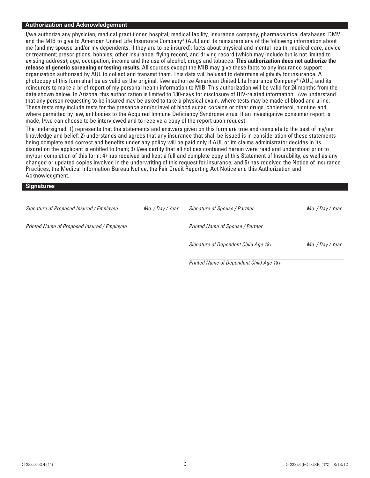#### **Authorization and Acknowledgement**

I/we authorize any physician, medical practitioner, hospital, medical facility, insurance company, pharmaceutical databases, DMV and the MIB to give to American United Life Insurance Company® (AUL) and its reinsurers any of the following information about me (and my spouse and/or my dependents, if they are to be insured): facts about physical and mental health; medical care, advice or treatment; prescriptions, hobbies, other insurance, flying record, and driving record (which may include but is not limited to existing address); age, occupation, income and the use of alcohol, drugs and tobacco. **This authorization does not authorize the release of genetic screening or testing results.** All sources except the MIB may give these facts to any insurance support organization authorized by AUL to collect and transmit them. This data will be used to determine eligibility for insurance. A photocopy of this form shall be as valid as the original. I/we authorize American United Life Insurance Company® (AUL) and its reinsurers to make a brief report of my personal health information to MIB. This authorization will be valid for 24 months from the date shown below. In Arizona, this authorization is limited to 180-days for disclosure of HIV-related information. I/we understand that any person requesting to be insured may be asked to take a physical exam, where tests may be made of blood and urine. These tests may include tests for the presence and/or level of blood sugar, cocaine or other drugs, cholesterol, nicotine and, where permitted by law, antibodies to the Acquired Immune Deficiency Syndrome virus. If an investigative consumer report is made, I/we can choose to be interviewed and to receive a copy of the report upon request.

The undersigned: 1) represents that the statements and answers given on this form are true and complete to the best of my/our knowledge and belief; 2) understands and agrees that any insurance that shall be issued is in consideration of these statements being complete and correct and benefits under any policy will be paid only if AUL or its claims administrator decides in its discretion the applicant is entitled to them; 3) I/we certify that all notices contained herein were read and understood prior to my/our completion of this form; 4) has received and kept a full and complete copy of this Statement of Insurability, as well as any changed or updated copies involved in the underwriting of this request for insurance; and 5) has received the Notice of Insurance Practices, the Medical Information Bureau Notice, the Fair Credit Reporting Act Notice and this Authorization and Acknowledgment.

#### **Signatures**

| Signature of Proposed Insured / Employee    | Mo. / Day / Year | Signature of Spouse / Partner           | Mo. / Day / Year |  |
|---------------------------------------------|------------------|-----------------------------------------|------------------|--|
| Printed Name of Proposed Insured / Employee |                  | Printed Name of Spouse / Partner        |                  |  |
|                                             |                  | Signature of Dependent Child Age 18+    | Mo. / Day / Year |  |
|                                             |                  | Printed Name of Dependent Child Age 18+ |                  |  |